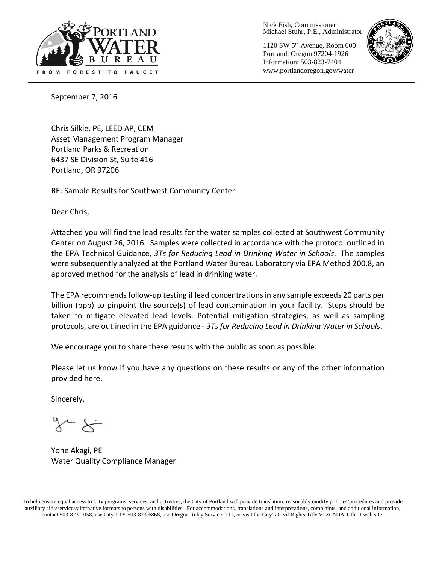

Nick Fish, Commissioner Michael Stuhr, P.E., Administrator

1120 SW 5th Avenue, Room 600 Portland, Oregon 97204-1926 Information: 503-823-7404 www.portlandoregon.gov/water



September 7, 2016

Chris Silkie, PE, LEED AP, CEM Asset Management Program Manager Portland Parks & Recreation 6437 SE Division St, Suite 416 Portland, OR 97206

RE: Sample Results for Southwest Community Center

Dear Chris,

Attached you will find the lead results for the water samples collected at Southwest Community Center on August 26, 2016. Samples were collected in accordance with the protocol outlined in the EPA Technical Guidance, *3Ts for Reducing Lead in Drinking Water in Schools*. The samples were subsequently analyzed at the Portland Water Bureau Laboratory via EPA Method 200.8, an approved method for the analysis of lead in drinking water.

The EPA recommends follow-up testing if lead concentrations in any sample exceeds 20 parts per billion (ppb) to pinpoint the source(s) of lead contamination in your facility. Steps should be taken to mitigate elevated lead levels. Potential mitigation strategies, as well as sampling protocols, are outlined in the EPA guidance - *3Ts for Reducing Lead in Drinking Water in Schools*.

We encourage you to share these results with the public as soon as possible.

Please let us know if you have any questions on these results or any of the other information provided here.

Sincerely,

Yone Akagi, PE Water Quality Compliance Manager

To help ensure equal access to City programs, services, and activities, the City of Portland will provide translation, reasonably modify policies/procedures and provide auxiliary aids/services/alternative formats to persons with disabilities. For accommodations, translations and interpretations, complaints, and additional information, contact 503-823-1058, use City TTY 503-823-6868, use Oregon Relay Service: 711, or visi[t the City's Civil Rights Title VI & ADA Title II web site.](http://www.portlandoregon.gov/oehr/66458)